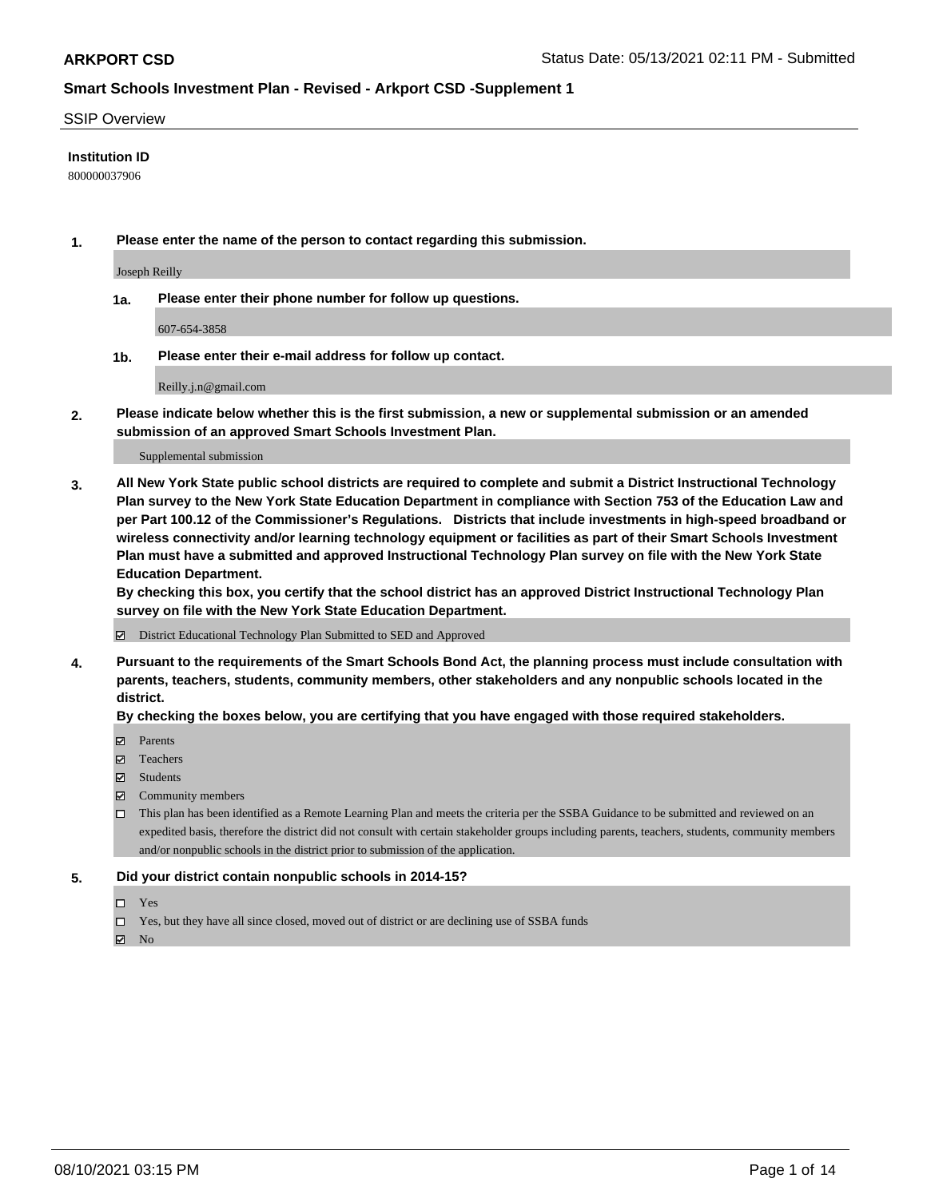#### SSIP Overview

### **Institution ID**

800000037906

**1. Please enter the name of the person to contact regarding this submission.**

Joseph Reilly

**1a. Please enter their phone number for follow up questions.**

607-654-3858

**1b. Please enter their e-mail address for follow up contact.**

Reilly.j.n@gmail.com

**2. Please indicate below whether this is the first submission, a new or supplemental submission or an amended submission of an approved Smart Schools Investment Plan.**

#### Supplemental submission

**3. All New York State public school districts are required to complete and submit a District Instructional Technology Plan survey to the New York State Education Department in compliance with Section 753 of the Education Law and per Part 100.12 of the Commissioner's Regulations. Districts that include investments in high-speed broadband or wireless connectivity and/or learning technology equipment or facilities as part of their Smart Schools Investment Plan must have a submitted and approved Instructional Technology Plan survey on file with the New York State Education Department.** 

**By checking this box, you certify that the school district has an approved District Instructional Technology Plan survey on file with the New York State Education Department.**

District Educational Technology Plan Submitted to SED and Approved

**4. Pursuant to the requirements of the Smart Schools Bond Act, the planning process must include consultation with parents, teachers, students, community members, other stakeholders and any nonpublic schools located in the district.** 

### **By checking the boxes below, you are certifying that you have engaged with those required stakeholders.**

- **Parents**
- Teachers
- Students
- $\boxtimes$  Community members
- This plan has been identified as a Remote Learning Plan and meets the criteria per the SSBA Guidance to be submitted and reviewed on an expedited basis, therefore the district did not consult with certain stakeholder groups including parents, teachers, students, community members and/or nonpublic schools in the district prior to submission of the application.
- **5. Did your district contain nonpublic schools in 2014-15?**
	- □ Yes
	- □ Yes, but they have all since closed, moved out of district or are declining use of SSBA funds

 $M$  No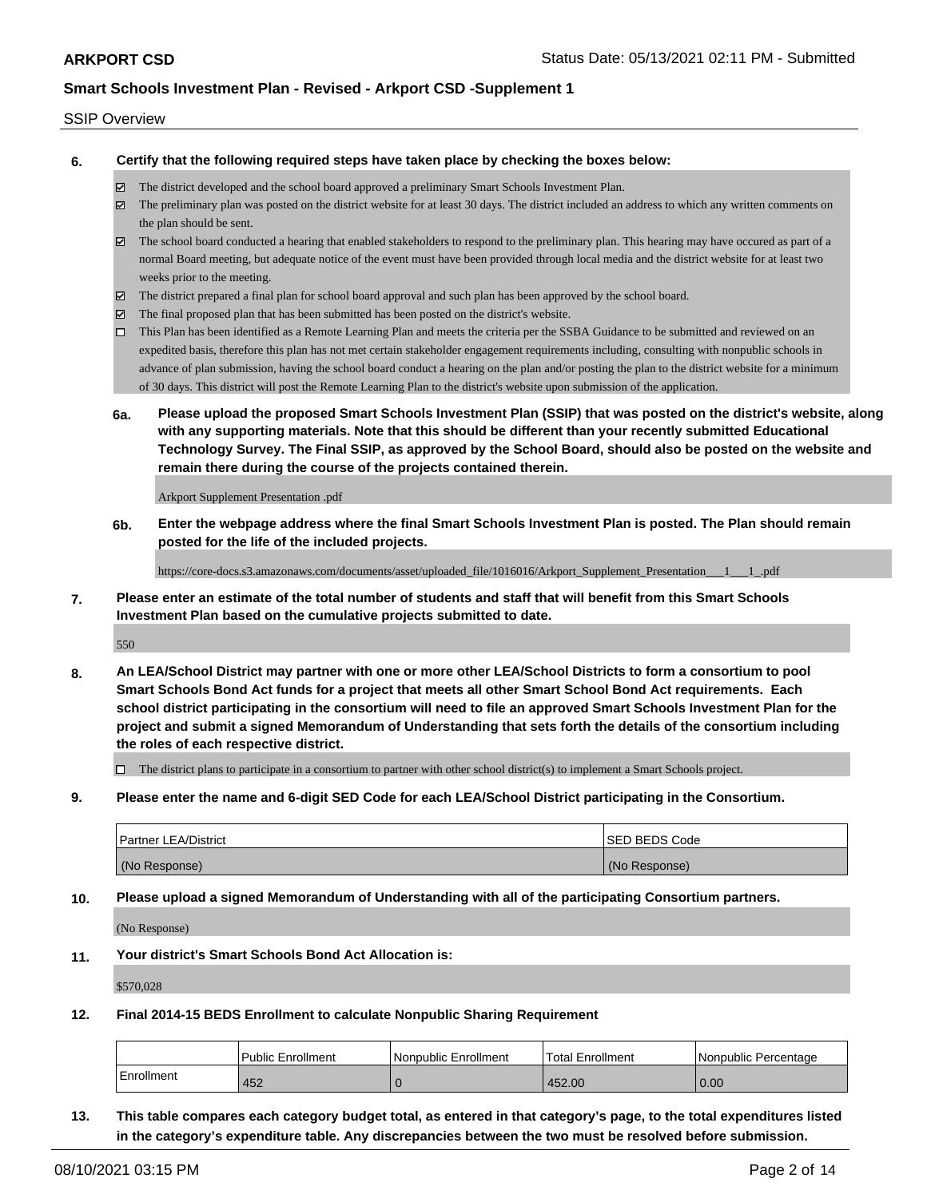### SSIP Overview

**6. Certify that the following required steps have taken place by checking the boxes below:**

- The district developed and the school board approved a preliminary Smart Schools Investment Plan.
- The preliminary plan was posted on the district website for at least 30 days. The district included an address to which any written comments on the plan should be sent.
- $\boxtimes$  The school board conducted a hearing that enabled stakeholders to respond to the preliminary plan. This hearing may have occured as part of a normal Board meeting, but adequate notice of the event must have been provided through local media and the district website for at least two weeks prior to the meeting.
- The district prepared a final plan for school board approval and such plan has been approved by the school board.
- $\boxtimes$  The final proposed plan that has been submitted has been posted on the district's website.
- This Plan has been identified as a Remote Learning Plan and meets the criteria per the SSBA Guidance to be submitted and reviewed on an expedited basis, therefore this plan has not met certain stakeholder engagement requirements including, consulting with nonpublic schools in advance of plan submission, having the school board conduct a hearing on the plan and/or posting the plan to the district website for a minimum of 30 days. This district will post the Remote Learning Plan to the district's website upon submission of the application.
- **6a. Please upload the proposed Smart Schools Investment Plan (SSIP) that was posted on the district's website, along with any supporting materials. Note that this should be different than your recently submitted Educational Technology Survey. The Final SSIP, as approved by the School Board, should also be posted on the website and remain there during the course of the projects contained therein.**

Arkport Supplement Presentation .pdf

**6b. Enter the webpage address where the final Smart Schools Investment Plan is posted. The Plan should remain posted for the life of the included projects.**

https://core-docs.s3.amazonaws.com/documents/asset/uploaded\_file/1016016/Arkport\_Supplement\_Presentation\_\_\_1\_\_\_1\_.pdf

**7. Please enter an estimate of the total number of students and staff that will benefit from this Smart Schools Investment Plan based on the cumulative projects submitted to date.**

550

**8. An LEA/School District may partner with one or more other LEA/School Districts to form a consortium to pool Smart Schools Bond Act funds for a project that meets all other Smart School Bond Act requirements. Each school district participating in the consortium will need to file an approved Smart Schools Investment Plan for the project and submit a signed Memorandum of Understanding that sets forth the details of the consortium including the roles of each respective district.**

 $\Box$  The district plans to participate in a consortium to partner with other school district(s) to implement a Smart Schools project.

**9. Please enter the name and 6-digit SED Code for each LEA/School District participating in the Consortium.**

| <b>Partner LEA/District</b> | <b>ISED BEDS Code</b> |
|-----------------------------|-----------------------|
| (No Response)               | (No Response)         |

**10. Please upload a signed Memorandum of Understanding with all of the participating Consortium partners.**

(No Response)

**11. Your district's Smart Schools Bond Act Allocation is:**

\$570,028

**12. Final 2014-15 BEDS Enrollment to calculate Nonpublic Sharing Requirement**

|            | Public Enrollment | Nonpublic Enrollment | Total Enrollment | l Nonpublic Percentage |
|------------|-------------------|----------------------|------------------|------------------------|
| Enrollment | 452               |                      | 452.00           | 0.00                   |

**13. This table compares each category budget total, as entered in that category's page, to the total expenditures listed in the category's expenditure table. Any discrepancies between the two must be resolved before submission.**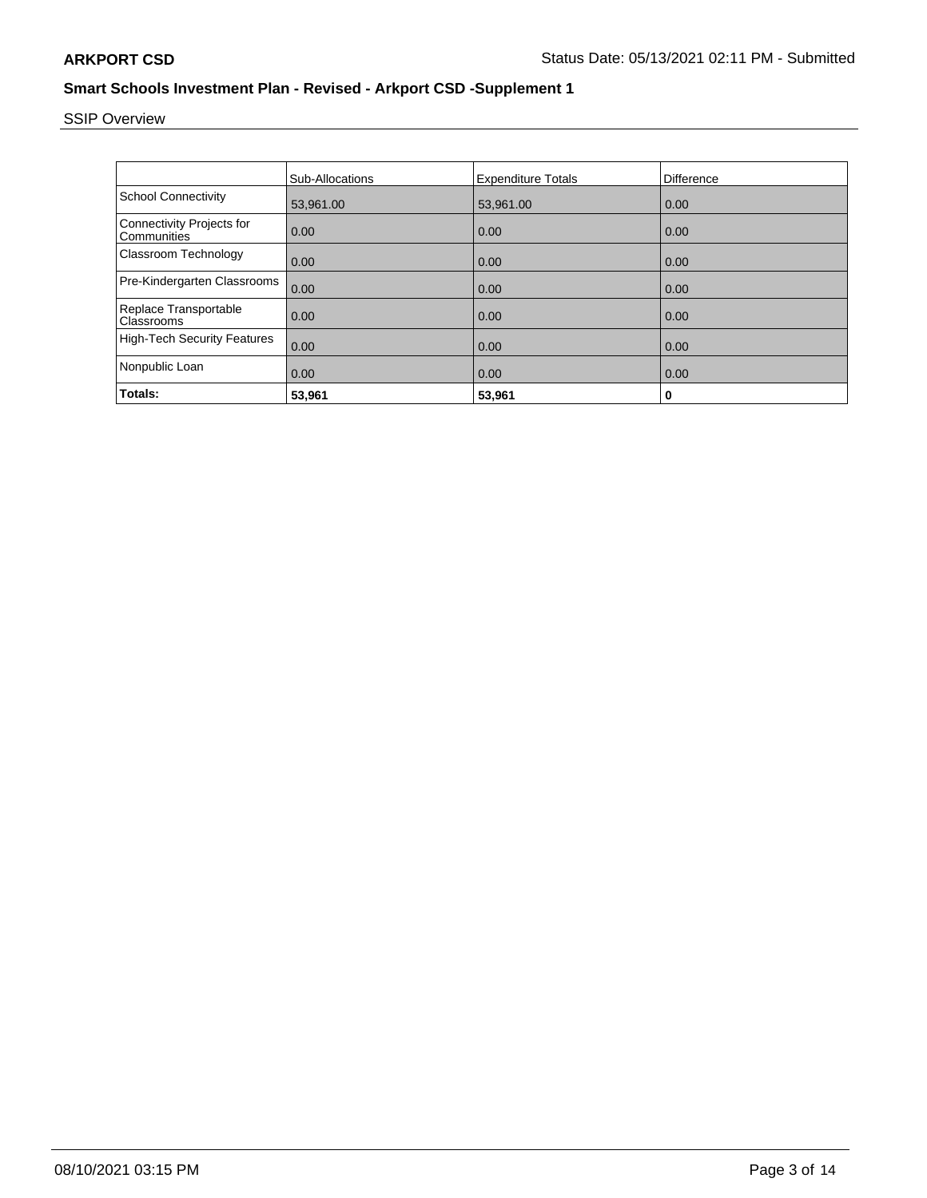# SSIP Overview

|                                                 | <b>Sub-Allocations</b> | <b>Expenditure Totals</b> | Difference |
|-------------------------------------------------|------------------------|---------------------------|------------|
| <b>School Connectivity</b>                      | 53,961.00              | 53,961.00                 | 0.00       |
| <b>Connectivity Projects for</b><br>Communities | 0.00                   | 0.00                      | 0.00       |
| Classroom Technology                            | 0.00                   | 0.00                      | 0.00       |
| Pre-Kindergarten Classrooms                     | 0.00                   | 0.00                      | 0.00       |
| Replace Transportable<br>Classrooms             | 0.00                   | 0.00                      | 0.00       |
| <b>High-Tech Security Features</b>              | 0.00                   | 0.00                      | 0.00       |
| Nonpublic Loan                                  | 0.00                   | 0.00                      | 0.00       |
| Totals:                                         | 53,961                 | 53,961                    | 0          |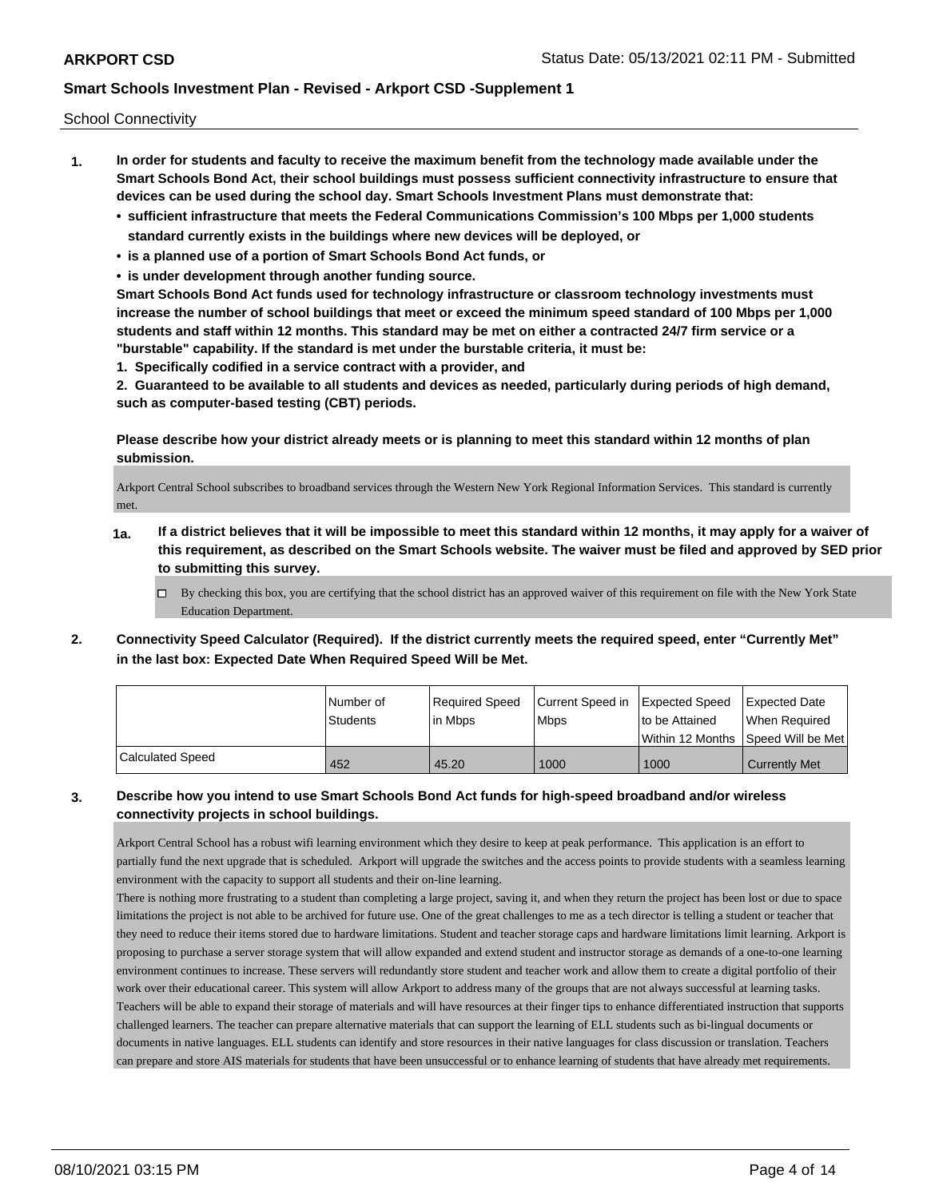School Connectivity

- **1. In order for students and faculty to receive the maximum benefit from the technology made available under the Smart Schools Bond Act, their school buildings must possess sufficient connectivity infrastructure to ensure that devices can be used during the school day. Smart Schools Investment Plans must demonstrate that:**
	- **• sufficient infrastructure that meets the Federal Communications Commission's 100 Mbps per 1,000 students standard currently exists in the buildings where new devices will be deployed, or**
	- **• is a planned use of a portion of Smart Schools Bond Act funds, or**
	- **• is under development through another funding source.**

**Smart Schools Bond Act funds used for technology infrastructure or classroom technology investments must increase the number of school buildings that meet or exceed the minimum speed standard of 100 Mbps per 1,000 students and staff within 12 months. This standard may be met on either a contracted 24/7 firm service or a "burstable" capability. If the standard is met under the burstable criteria, it must be:**

**1. Specifically codified in a service contract with a provider, and**

**2. Guaranteed to be available to all students and devices as needed, particularly during periods of high demand, such as computer-based testing (CBT) periods.**

**Please describe how your district already meets or is planning to meet this standard within 12 months of plan submission.**

Arkport Central School subscribes to broadband services through the Western New York Regional Information Services. This standard is currently met.

- **1a. If a district believes that it will be impossible to meet this standard within 12 months, it may apply for a waiver of this requirement, as described on the Smart Schools website. The waiver must be filed and approved by SED prior to submitting this survey.**
	- $\Box$  By checking this box, you are certifying that the school district has an approved waiver of this requirement on file with the New York State Education Department.
- **2. Connectivity Speed Calculator (Required). If the district currently meets the required speed, enter "Currently Met" in the last box: Expected Date When Required Speed Will be Met.**

|                  | l Number of     | Required Speed | Current Speed in Expected Speed |                                      | Expected Date        |
|------------------|-----------------|----------------|---------------------------------|--------------------------------------|----------------------|
|                  | <b>Students</b> | l in Mbps      | <b>Mbps</b>                     | Ito be Attained                      | When Required        |
|                  |                 |                |                                 | Within 12 Months 1Speed Will be Met1 |                      |
| Calculated Speed | 452             | 45.20          | 1000                            | 1000                                 | <b>Currently Met</b> |

## **3. Describe how you intend to use Smart Schools Bond Act funds for high-speed broadband and/or wireless connectivity projects in school buildings.**

Arkport Central School has a robust wifi learning environment which they desire to keep at peak performance. This application is an effort to partially fund the next upgrade that is scheduled. Arkport will upgrade the switches and the access points to provide students with a seamless learning environment with the capacity to support all students and their on-line learning.

There is nothing more frustrating to a student than completing a large project, saving it, and when they return the project has been lost or due to space limitations the project is not able to be archived for future use. One of the great challenges to me as a tech director is telling a student or teacher that they need to reduce their items stored due to hardware limitations. Student and teacher storage caps and hardware limitations limit learning. Arkport is proposing to purchase a server storage system that will allow expanded and extend student and instructor storage as demands of a one-to-one learning environment continues to increase. These servers will redundantly store student and teacher work and allow them to create a digital portfolio of their work over their educational career. This system will allow Arkport to address many of the groups that are not always successful at learning tasks. Teachers will be able to expand their storage of materials and will have resources at their finger tips to enhance differentiated instruction that supports challenged learners. The teacher can prepare alternative materials that can support the learning of ELL students such as bi-lingual documents or documents in native languages. ELL students can identify and store resources in their native languages for class discussion or translation. Teachers can prepare and store AIS materials for students that have been unsuccessful or to enhance learning of students that have already met requirements.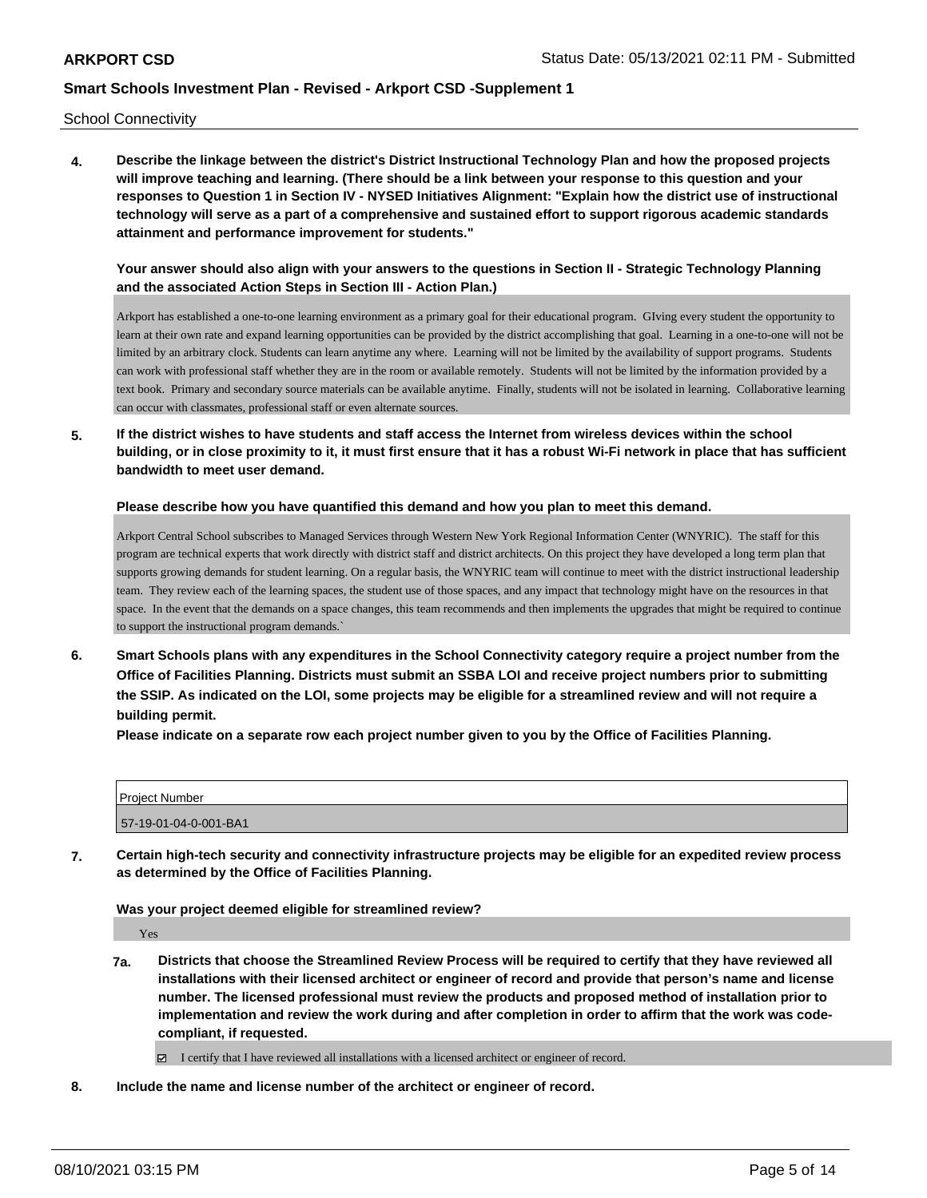School Connectivity

**4. Describe the linkage between the district's District Instructional Technology Plan and how the proposed projects will improve teaching and learning. (There should be a link between your response to this question and your responses to Question 1 in Section IV - NYSED Initiatives Alignment: "Explain how the district use of instructional technology will serve as a part of a comprehensive and sustained effort to support rigorous academic standards attainment and performance improvement for students."** 

**Your answer should also align with your answers to the questions in Section II - Strategic Technology Planning and the associated Action Steps in Section III - Action Plan.)**

Arkport has established a one-to-one learning environment as a primary goal for their educational program. GIving every student the opportunity to learn at their own rate and expand learning opportunities can be provided by the district accomplishing that goal. Learning in a one-to-one will not be limited by an arbitrary clock. Students can learn anytime any where. Learning will not be limited by the availability of support programs. Students can work with professional staff whether they are in the room or available remotely. Students will not be limited by the information provided by a text book. Primary and secondary source materials can be available anytime. Finally, students will not be isolated in learning. Collaborative learning can occur with classmates, professional staff or even alternate sources.

**5. If the district wishes to have students and staff access the Internet from wireless devices within the school building, or in close proximity to it, it must first ensure that it has a robust Wi-Fi network in place that has sufficient bandwidth to meet user demand.**

**Please describe how you have quantified this demand and how you plan to meet this demand.**

Arkport Central School subscribes to Managed Services through Western New York Regional Information Center (WNYRIC). The staff for this program are technical experts that work directly with district staff and district architects. On this project they have developed a long term plan that supports growing demands for student learning. On a regular basis, the WNYRIC team will continue to meet with the district instructional leadership team. They review each of the learning spaces, the student use of those spaces, and any impact that technology might have on the resources in that space. In the event that the demands on a space changes, this team recommends and then implements the upgrades that might be required to continue to support the instructional program demands.`

**6. Smart Schools plans with any expenditures in the School Connectivity category require a project number from the Office of Facilities Planning. Districts must submit an SSBA LOI and receive project numbers prior to submitting the SSIP. As indicated on the LOI, some projects may be eligible for a streamlined review and will not require a building permit.**

**Please indicate on a separate row each project number given to you by the Office of Facilities Planning.**

| Project Number        |  |
|-----------------------|--|
| 57-19-01-04-0-001-BA1 |  |

**7. Certain high-tech security and connectivity infrastructure projects may be eligible for an expedited review process as determined by the Office of Facilities Planning.**

**Was your project deemed eligible for streamlined review?**

Yes

**7a. Districts that choose the Streamlined Review Process will be required to certify that they have reviewed all installations with their licensed architect or engineer of record and provide that person's name and license number. The licensed professional must review the products and proposed method of installation prior to implementation and review the work during and after completion in order to affirm that the work was codecompliant, if requested.**

I certify that I have reviewed all installations with a licensed architect or engineer of record.

**8. Include the name and license number of the architect or engineer of record.**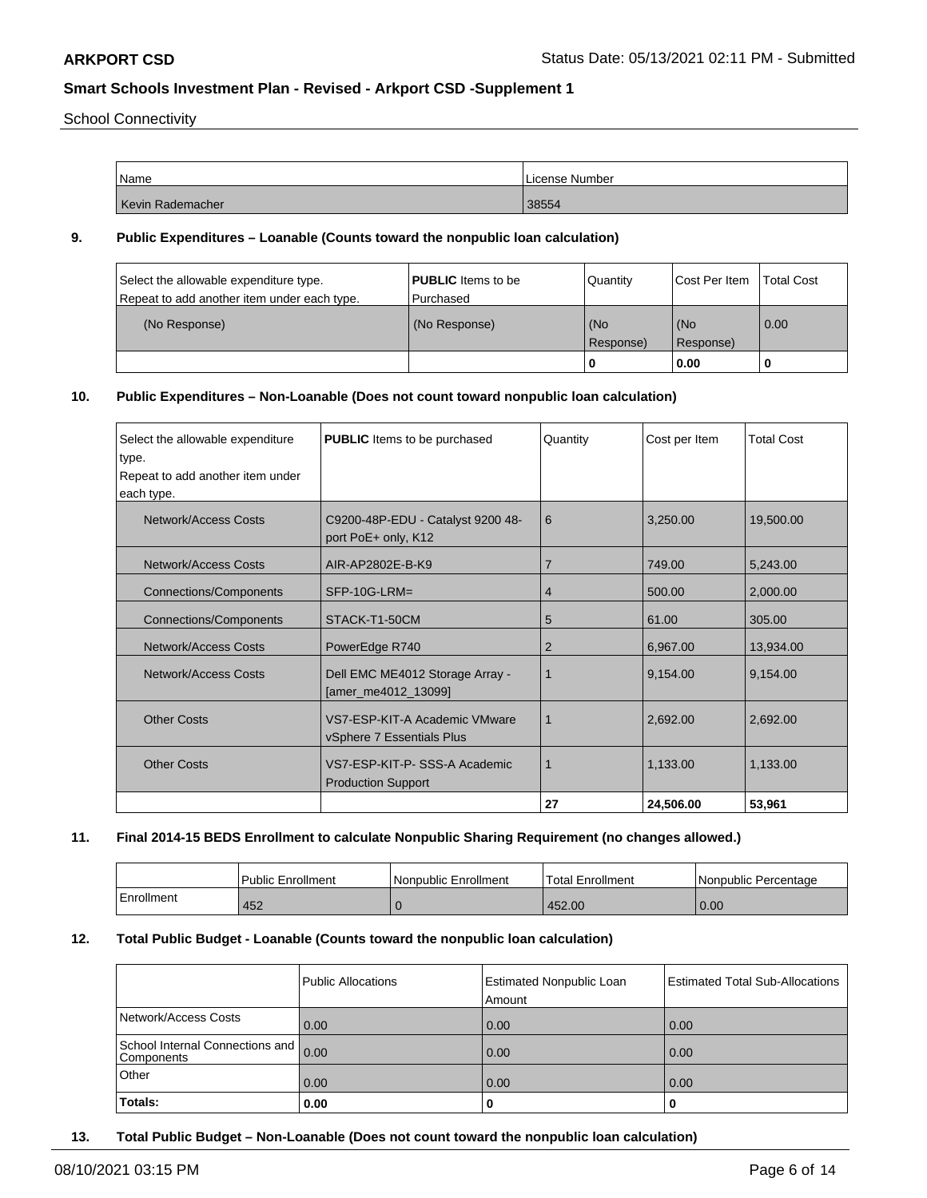School Connectivity

| Name             | License Number |
|------------------|----------------|
| Kevin Rademacher | 38554          |

### **9. Public Expenditures – Loanable (Counts toward the nonpublic loan calculation)**

| Select the allowable expenditure type.<br>Repeat to add another item under each type. | <b>PUBLIC</b> Items to be<br>Purchased | Quantity         | Cost Per Item    | <b>Total Cost</b> |
|---------------------------------------------------------------------------------------|----------------------------------------|------------------|------------------|-------------------|
| (No Response)                                                                         | (No Response)                          | (No<br>Response) | (No<br>Response) | 0.00              |
|                                                                                       |                                        |                  | 0.00             |                   |

## **10. Public Expenditures – Non-Loanable (Does not count toward nonpublic loan calculation)**

| Select the allowable expenditure<br>type. | <b>PUBLIC</b> Items to be purchased                        | Quantity       | Cost per Item | <b>Total Cost</b> |
|-------------------------------------------|------------------------------------------------------------|----------------|---------------|-------------------|
| Repeat to add another item under          |                                                            |                |               |                   |
| each type.                                |                                                            |                |               |                   |
| <b>Network/Access Costs</b>               | C9200-48P-EDU - Catalyst 9200 48-<br>port PoE+ only, K12   | 6              | 3,250.00      | 19,500.00         |
| Network/Access Costs                      | AIR-AP2802E-B-K9                                           | $\overline{7}$ | 749.00        | 5,243.00          |
| <b>Connections/Components</b>             | SFP-10G-LRM=                                               | 4              | 500.00        | 2,000.00          |
| Connections/Components                    | STACK-T1-50CM                                              | 5              | 61.00         | 305.00            |
| Network/Access Costs                      | PowerEdge R740                                             | 2              | 6,967.00      | 13,934.00         |
| Network/Access Costs                      | Dell EMC ME4012 Storage Array -<br>[amer_me4012_13099]     | 1              | 9,154.00      | 9,154.00          |
| <b>Other Costs</b>                        | VS7-ESP-KIT-A Academic VMware<br>vSphere 7 Essentials Plus | 1              | 2,692.00      | 2,692.00          |
| <b>Other Costs</b>                        | VS7-ESP-KIT-P-SSS-A Academic<br><b>Production Support</b>  | 1              | 1,133.00      | 1,133.00          |
|                                           |                                                            | 27             | 24,506.00     | 53,961            |

#### **11. Final 2014-15 BEDS Enrollment to calculate Nonpublic Sharing Requirement (no changes allowed.)**

|            | <b>Public Enrollment</b> | Nonpublic Enrollment | 'Total Enrollment | l Nonpublic Percentage |
|------------|--------------------------|----------------------|-------------------|------------------------|
| Enrollment | 452                      |                      | 452.00            | 0.00                   |

## **12. Total Public Budget - Loanable (Counts toward the nonpublic loan calculation)**

|                                               | Public Allocations | <b>Estimated Nonpublic Loan</b><br>Amount | Estimated Total Sub-Allocations |
|-----------------------------------------------|--------------------|-------------------------------------------|---------------------------------|
| Network/Access Costs                          | 0.00               | 0.00                                      | 0.00                            |
| School Internal Connections and<br>Components | 0.00               | 0.00                                      | 0.00                            |
| Other                                         | 0.00               | 0.00                                      | 0.00                            |
| Totals:                                       | 0.00               | 0                                         | 0                               |

**13. Total Public Budget – Non-Loanable (Does not count toward the nonpublic loan calculation)**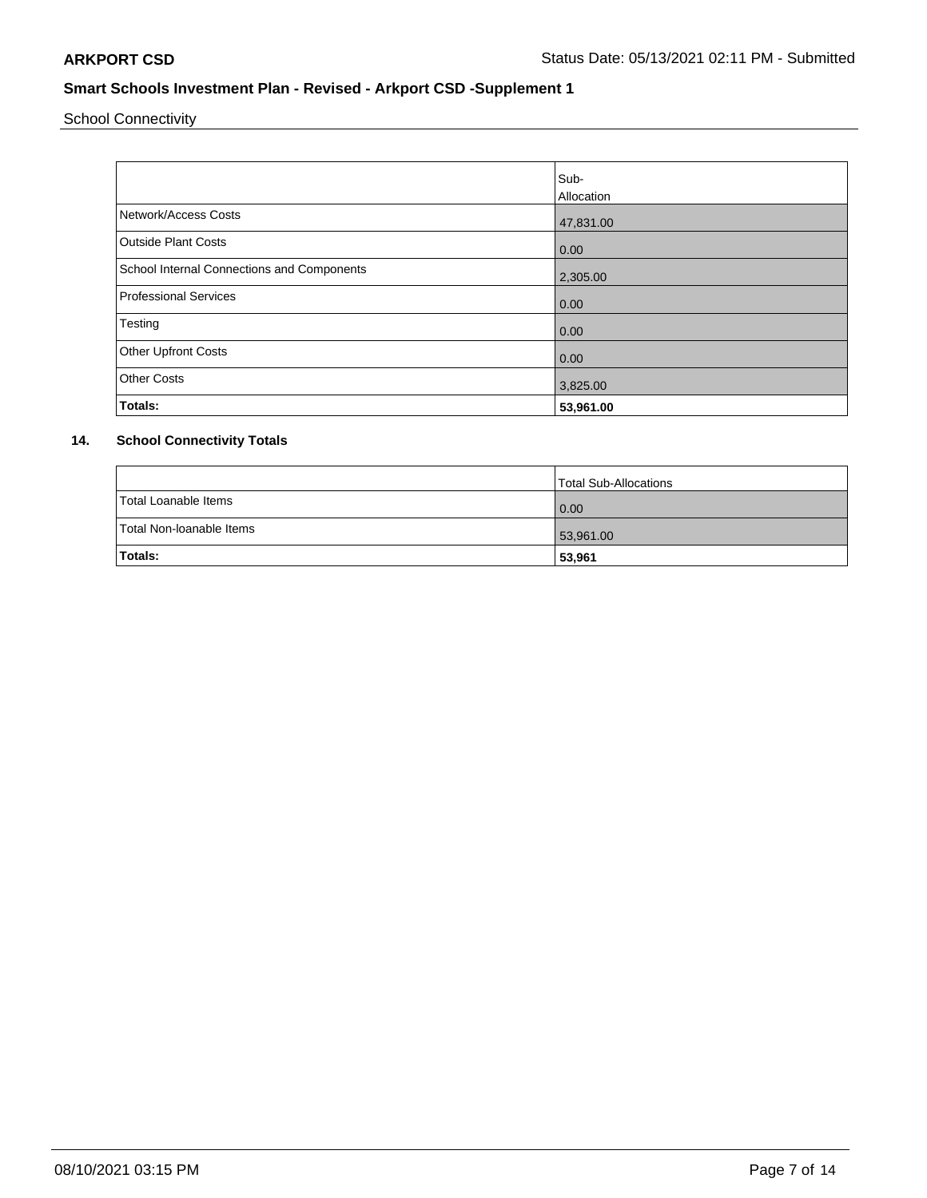School Connectivity

|                                            | Sub-       |
|--------------------------------------------|------------|
|                                            | Allocation |
| Network/Access Costs                       | 47,831.00  |
| <b>Outside Plant Costs</b>                 | 0.00       |
| School Internal Connections and Components | 2,305.00   |
| <b>Professional Services</b>               | 0.00       |
| Testing                                    | 0.00       |
| <b>Other Upfront Costs</b>                 | 0.00       |
| <b>Other Costs</b>                         | 3,825.00   |
| Totals:                                    | 53,961.00  |

## **14. School Connectivity Totals**

|                          | Total Sub-Allocations |
|--------------------------|-----------------------|
| Total Loanable Items     | 0.00                  |
| Total Non-Ioanable Items | 53,961.00             |
| <b>Totals:</b>           | 53,961                |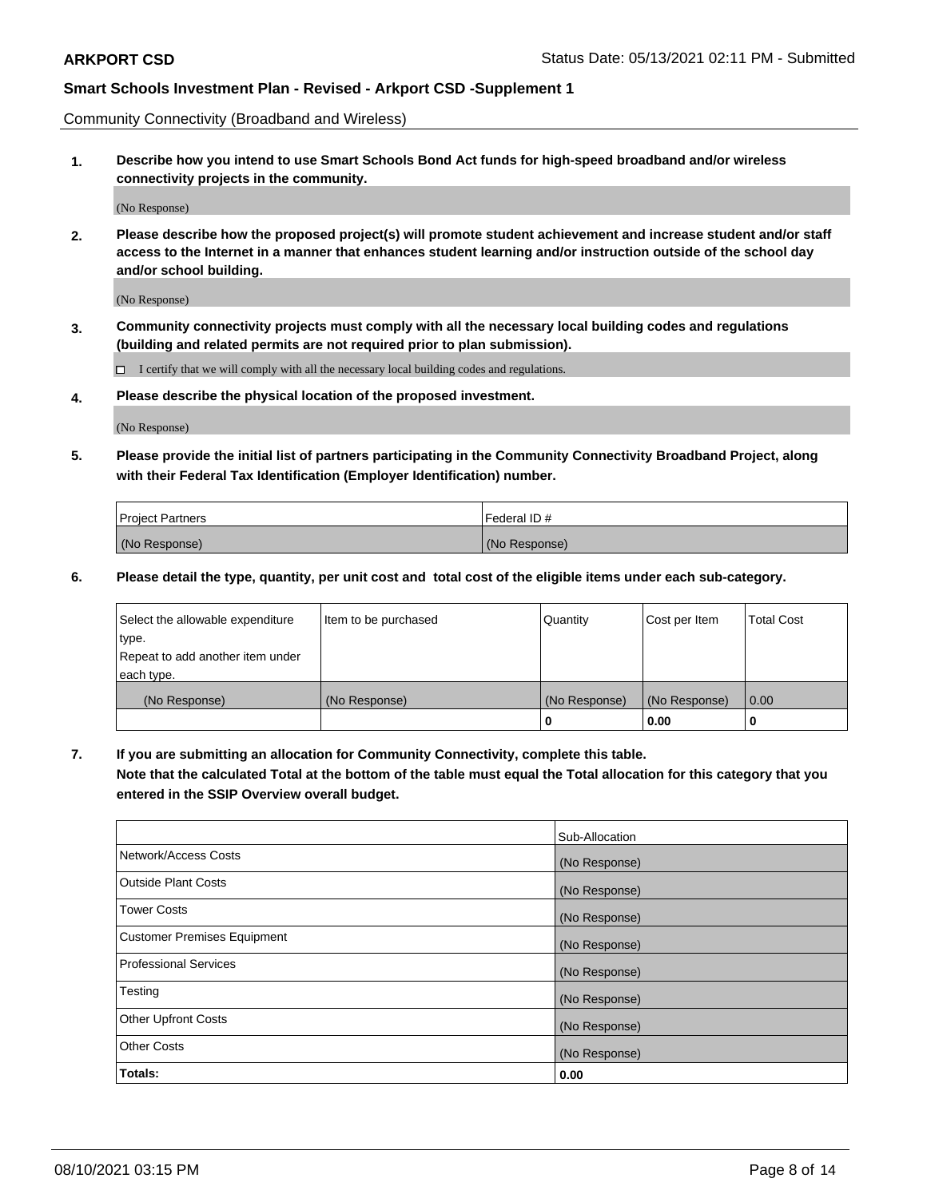Community Connectivity (Broadband and Wireless)

**1. Describe how you intend to use Smart Schools Bond Act funds for high-speed broadband and/or wireless connectivity projects in the community.**

(No Response)

**2. Please describe how the proposed project(s) will promote student achievement and increase student and/or staff access to the Internet in a manner that enhances student learning and/or instruction outside of the school day and/or school building.**

(No Response)

**3. Community connectivity projects must comply with all the necessary local building codes and regulations (building and related permits are not required prior to plan submission).**

 $\Box$  I certify that we will comply with all the necessary local building codes and regulations.

**4. Please describe the physical location of the proposed investment.**

(No Response)

**5. Please provide the initial list of partners participating in the Community Connectivity Broadband Project, along with their Federal Tax Identification (Employer Identification) number.**

| <b>Project Partners</b> | l Federal ID # |
|-------------------------|----------------|
| (No Response)           | (No Response)  |

**6. Please detail the type, quantity, per unit cost and total cost of the eligible items under each sub-category.**

| Select the allowable expenditure | Item to be purchased | Quantity      | Cost per Item | <b>Total Cost</b> |
|----------------------------------|----------------------|---------------|---------------|-------------------|
| type.                            |                      |               |               |                   |
| Repeat to add another item under |                      |               |               |                   |
| each type.                       |                      |               |               |                   |
| (No Response)                    | (No Response)        | (No Response) | (No Response) | 0.00              |
|                                  |                      | o             | 0.00          |                   |

**7. If you are submitting an allocation for Community Connectivity, complete this table.**

**Note that the calculated Total at the bottom of the table must equal the Total allocation for this category that you entered in the SSIP Overview overall budget.**

|                                    | Sub-Allocation |
|------------------------------------|----------------|
| Network/Access Costs               | (No Response)  |
| Outside Plant Costs                | (No Response)  |
| <b>Tower Costs</b>                 | (No Response)  |
| <b>Customer Premises Equipment</b> | (No Response)  |
| <b>Professional Services</b>       | (No Response)  |
| Testing                            | (No Response)  |
| <b>Other Upfront Costs</b>         | (No Response)  |
| <b>Other Costs</b>                 | (No Response)  |
| Totals:                            | 0.00           |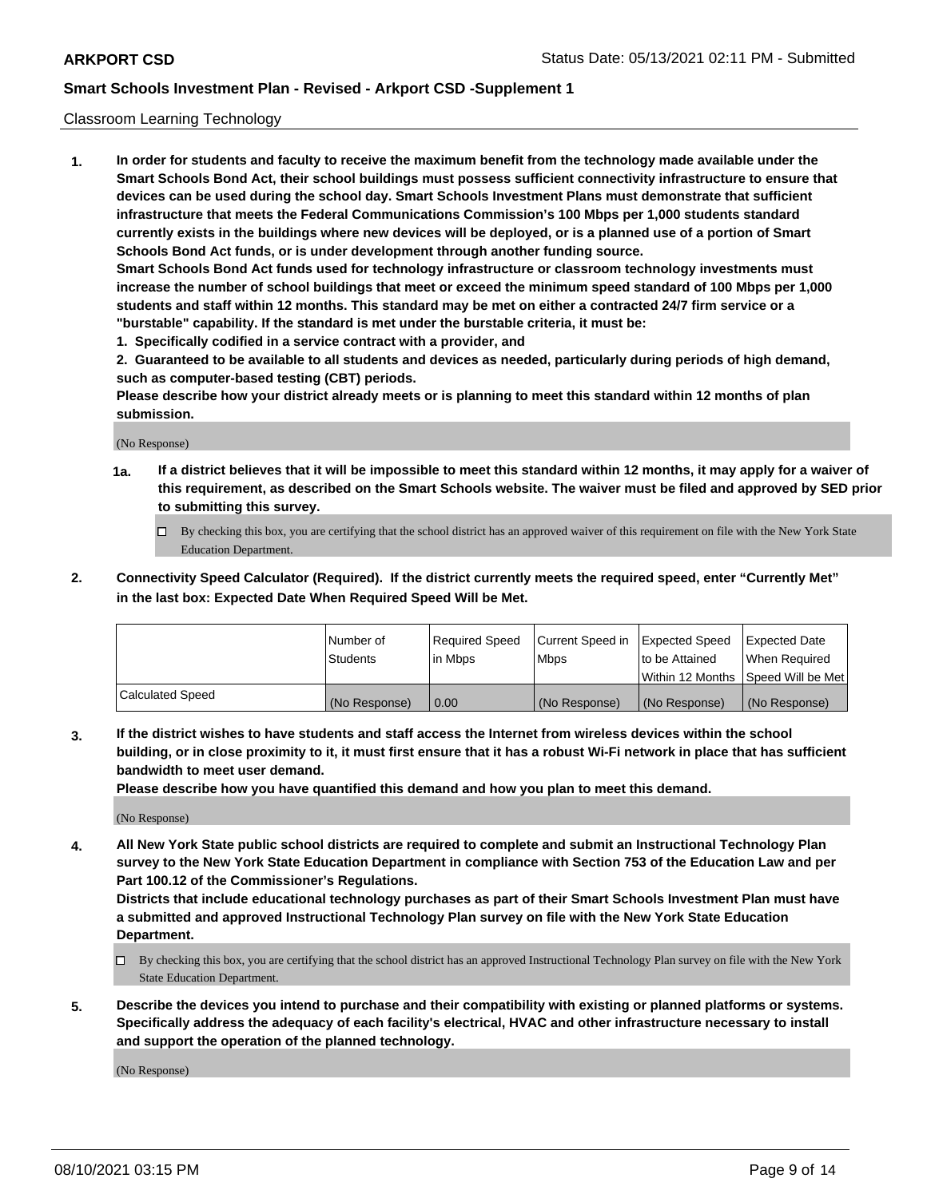### Classroom Learning Technology

**1. In order for students and faculty to receive the maximum benefit from the technology made available under the Smart Schools Bond Act, their school buildings must possess sufficient connectivity infrastructure to ensure that devices can be used during the school day. Smart Schools Investment Plans must demonstrate that sufficient infrastructure that meets the Federal Communications Commission's 100 Mbps per 1,000 students standard currently exists in the buildings where new devices will be deployed, or is a planned use of a portion of Smart Schools Bond Act funds, or is under development through another funding source. Smart Schools Bond Act funds used for technology infrastructure or classroom technology investments must increase the number of school buildings that meet or exceed the minimum speed standard of 100 Mbps per 1,000 students and staff within 12 months. This standard may be met on either a contracted 24/7 firm service or a**

**"burstable" capability. If the standard is met under the burstable criteria, it must be: 1. Specifically codified in a service contract with a provider, and**

**2. Guaranteed to be available to all students and devices as needed, particularly during periods of high demand, such as computer-based testing (CBT) periods.**

**Please describe how your district already meets or is planning to meet this standard within 12 months of plan submission.**

(No Response)

- **1a. If a district believes that it will be impossible to meet this standard within 12 months, it may apply for a waiver of this requirement, as described on the Smart Schools website. The waiver must be filed and approved by SED prior to submitting this survey.**
	- By checking this box, you are certifying that the school district has an approved waiver of this requirement on file with the New York State Education Department.
- **2. Connectivity Speed Calculator (Required). If the district currently meets the required speed, enter "Currently Met" in the last box: Expected Date When Required Speed Will be Met.**

|                  | l Number of     | Required Speed | Current Speed in | <b>Expected Speed</b> | <b>Expected Date</b>                |
|------------------|-----------------|----------------|------------------|-----------------------|-------------------------------------|
|                  | <b>Students</b> | l in Mbps      | l Mbps           | to be Attained        | When Required                       |
|                  |                 |                |                  |                       | Within 12 Months  Speed Will be Met |
| Calculated Speed | (No Response)   | 0.00           | (No Response)    | l (No Response)       | (No Response)                       |

**3. If the district wishes to have students and staff access the Internet from wireless devices within the school building, or in close proximity to it, it must first ensure that it has a robust Wi-Fi network in place that has sufficient bandwidth to meet user demand.**

**Please describe how you have quantified this demand and how you plan to meet this demand.**

(No Response)

**4. All New York State public school districts are required to complete and submit an Instructional Technology Plan survey to the New York State Education Department in compliance with Section 753 of the Education Law and per Part 100.12 of the Commissioner's Regulations.**

**Districts that include educational technology purchases as part of their Smart Schools Investment Plan must have a submitted and approved Instructional Technology Plan survey on file with the New York State Education Department.**

- By checking this box, you are certifying that the school district has an approved Instructional Technology Plan survey on file with the New York State Education Department.
- **5. Describe the devices you intend to purchase and their compatibility with existing or planned platforms or systems. Specifically address the adequacy of each facility's electrical, HVAC and other infrastructure necessary to install and support the operation of the planned technology.**

(No Response)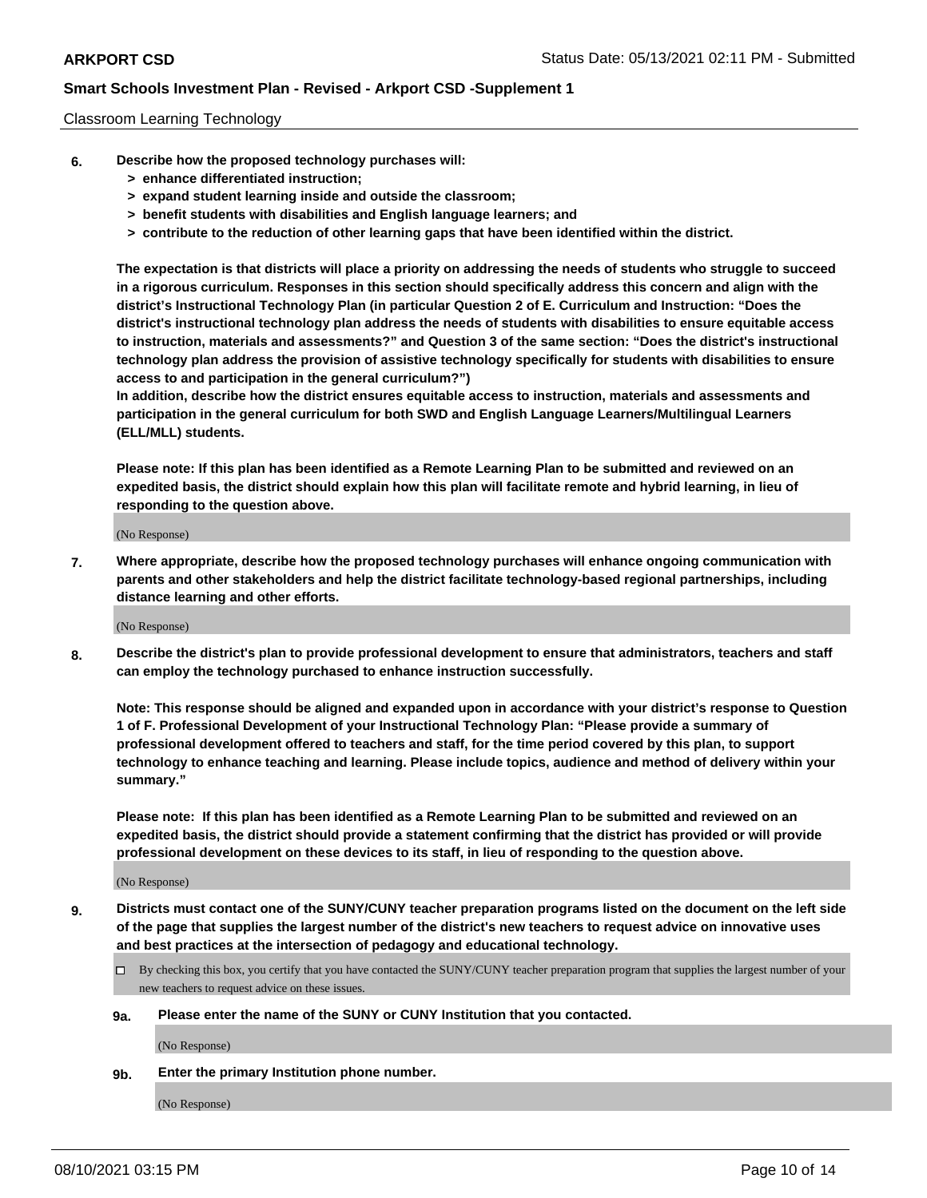### Classroom Learning Technology

- **6. Describe how the proposed technology purchases will:**
	- **> enhance differentiated instruction;**
	- **> expand student learning inside and outside the classroom;**
	- **> benefit students with disabilities and English language learners; and**
	- **> contribute to the reduction of other learning gaps that have been identified within the district.**

**The expectation is that districts will place a priority on addressing the needs of students who struggle to succeed in a rigorous curriculum. Responses in this section should specifically address this concern and align with the district's Instructional Technology Plan (in particular Question 2 of E. Curriculum and Instruction: "Does the district's instructional technology plan address the needs of students with disabilities to ensure equitable access to instruction, materials and assessments?" and Question 3 of the same section: "Does the district's instructional technology plan address the provision of assistive technology specifically for students with disabilities to ensure access to and participation in the general curriculum?")**

**In addition, describe how the district ensures equitable access to instruction, materials and assessments and participation in the general curriculum for both SWD and English Language Learners/Multilingual Learners (ELL/MLL) students.**

**Please note: If this plan has been identified as a Remote Learning Plan to be submitted and reviewed on an expedited basis, the district should explain how this plan will facilitate remote and hybrid learning, in lieu of responding to the question above.**

(No Response)

**7. Where appropriate, describe how the proposed technology purchases will enhance ongoing communication with parents and other stakeholders and help the district facilitate technology-based regional partnerships, including distance learning and other efforts.**

(No Response)

**8. Describe the district's plan to provide professional development to ensure that administrators, teachers and staff can employ the technology purchased to enhance instruction successfully.**

**Note: This response should be aligned and expanded upon in accordance with your district's response to Question 1 of F. Professional Development of your Instructional Technology Plan: "Please provide a summary of professional development offered to teachers and staff, for the time period covered by this plan, to support technology to enhance teaching and learning. Please include topics, audience and method of delivery within your summary."**

**Please note: If this plan has been identified as a Remote Learning Plan to be submitted and reviewed on an expedited basis, the district should provide a statement confirming that the district has provided or will provide professional development on these devices to its staff, in lieu of responding to the question above.**

(No Response)

- **9. Districts must contact one of the SUNY/CUNY teacher preparation programs listed on the document on the left side of the page that supplies the largest number of the district's new teachers to request advice on innovative uses and best practices at the intersection of pedagogy and educational technology.**
	- $\Box$  By checking this box, you certify that you have contacted the SUNY/CUNY teacher preparation program that supplies the largest number of your new teachers to request advice on these issues.

#### **9a. Please enter the name of the SUNY or CUNY Institution that you contacted.**

(No Response)

**9b. Enter the primary Institution phone number.**

(No Response)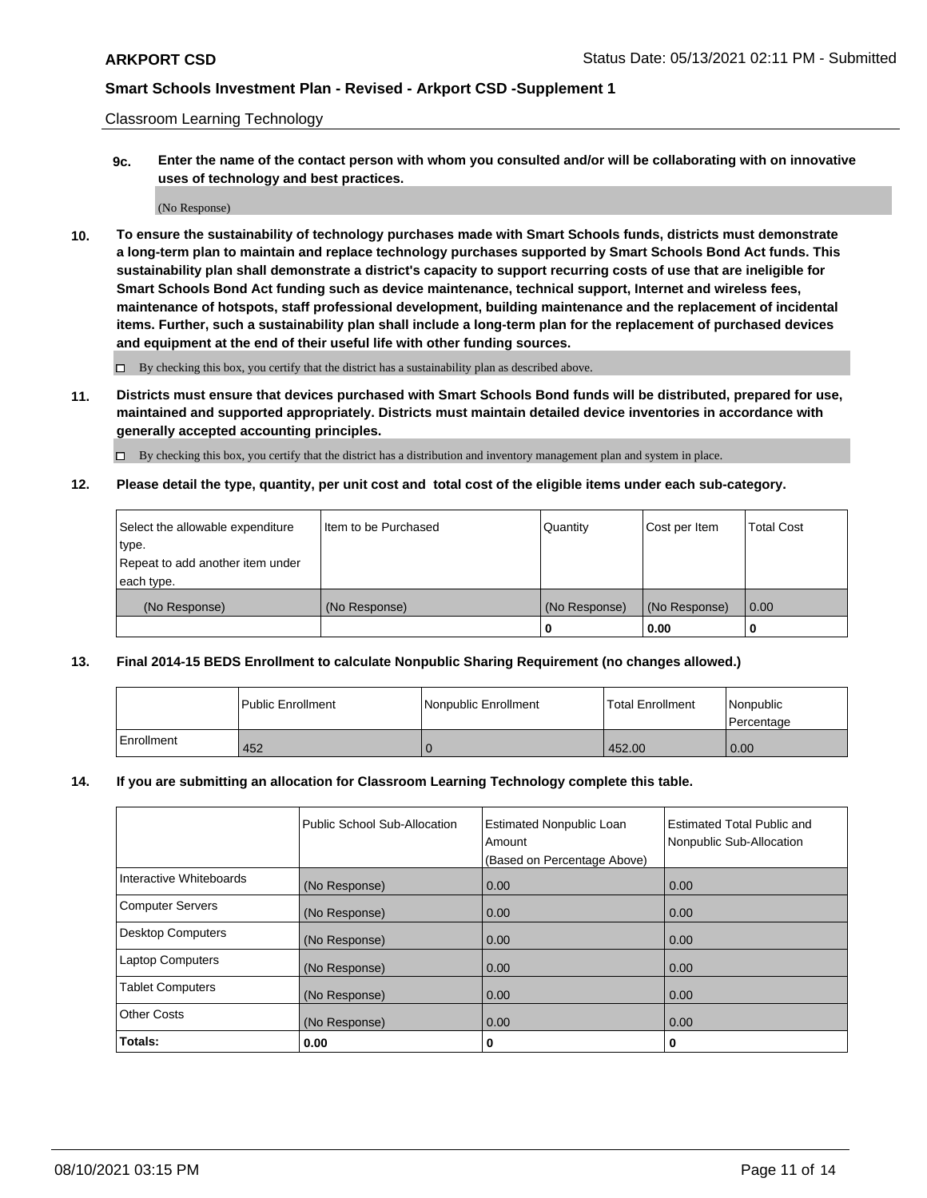Classroom Learning Technology

**9c. Enter the name of the contact person with whom you consulted and/or will be collaborating with on innovative uses of technology and best practices.**

(No Response)

**10. To ensure the sustainability of technology purchases made with Smart Schools funds, districts must demonstrate a long-term plan to maintain and replace technology purchases supported by Smart Schools Bond Act funds. This sustainability plan shall demonstrate a district's capacity to support recurring costs of use that are ineligible for Smart Schools Bond Act funding such as device maintenance, technical support, Internet and wireless fees, maintenance of hotspots, staff professional development, building maintenance and the replacement of incidental items. Further, such a sustainability plan shall include a long-term plan for the replacement of purchased devices and equipment at the end of their useful life with other funding sources.**

 $\square$  By checking this box, you certify that the district has a sustainability plan as described above.

**11. Districts must ensure that devices purchased with Smart Schools Bond funds will be distributed, prepared for use, maintained and supported appropriately. Districts must maintain detailed device inventories in accordance with generally accepted accounting principles.**

By checking this box, you certify that the district has a distribution and inventory management plan and system in place.

**12. Please detail the type, quantity, per unit cost and total cost of the eligible items under each sub-category.**

| Select the allowable expenditure | Item to be Purchased | Quantity      | Cost per Item | <b>Total Cost</b> |
|----------------------------------|----------------------|---------------|---------------|-------------------|
| type.                            |                      |               |               |                   |
| Repeat to add another item under |                      |               |               |                   |
| each type.                       |                      |               |               |                   |
| (No Response)                    | (No Response)        | (No Response) | (No Response) | $\overline{0.00}$ |
|                                  |                      |               | 0.00          |                   |

### **13. Final 2014-15 BEDS Enrollment to calculate Nonpublic Sharing Requirement (no changes allowed.)**

|                   | l Public Enrollment | Nonpublic Enrollment | <b>Total Enrollment</b> | <i>Nonpublic</i><br>Percentage |
|-------------------|---------------------|----------------------|-------------------------|--------------------------------|
| <b>Enrollment</b> | 452                 |                      | 452.00                  | 0.00                           |

#### **14. If you are submitting an allocation for Classroom Learning Technology complete this table.**

|                          | Public School Sub-Allocation | <b>Estimated Nonpublic Loan</b><br>Amount | Estimated Total Public and<br>Nonpublic Sub-Allocation |
|--------------------------|------------------------------|-------------------------------------------|--------------------------------------------------------|
|                          |                              | (Based on Percentage Above)               |                                                        |
| Interactive Whiteboards  | (No Response)                | 0.00                                      | 0.00                                                   |
| <b>Computer Servers</b>  | (No Response)                | 0.00                                      | 0.00                                                   |
| <b>Desktop Computers</b> | (No Response)                | 0.00                                      | 0.00                                                   |
| <b>Laptop Computers</b>  | (No Response)                | 0.00                                      | 0.00                                                   |
| <b>Tablet Computers</b>  | (No Response)                | 0.00                                      | 0.00                                                   |
| <b>Other Costs</b>       | (No Response)                | 0.00                                      | 0.00                                                   |
| Totals:                  | 0.00                         | 0                                         | 0                                                      |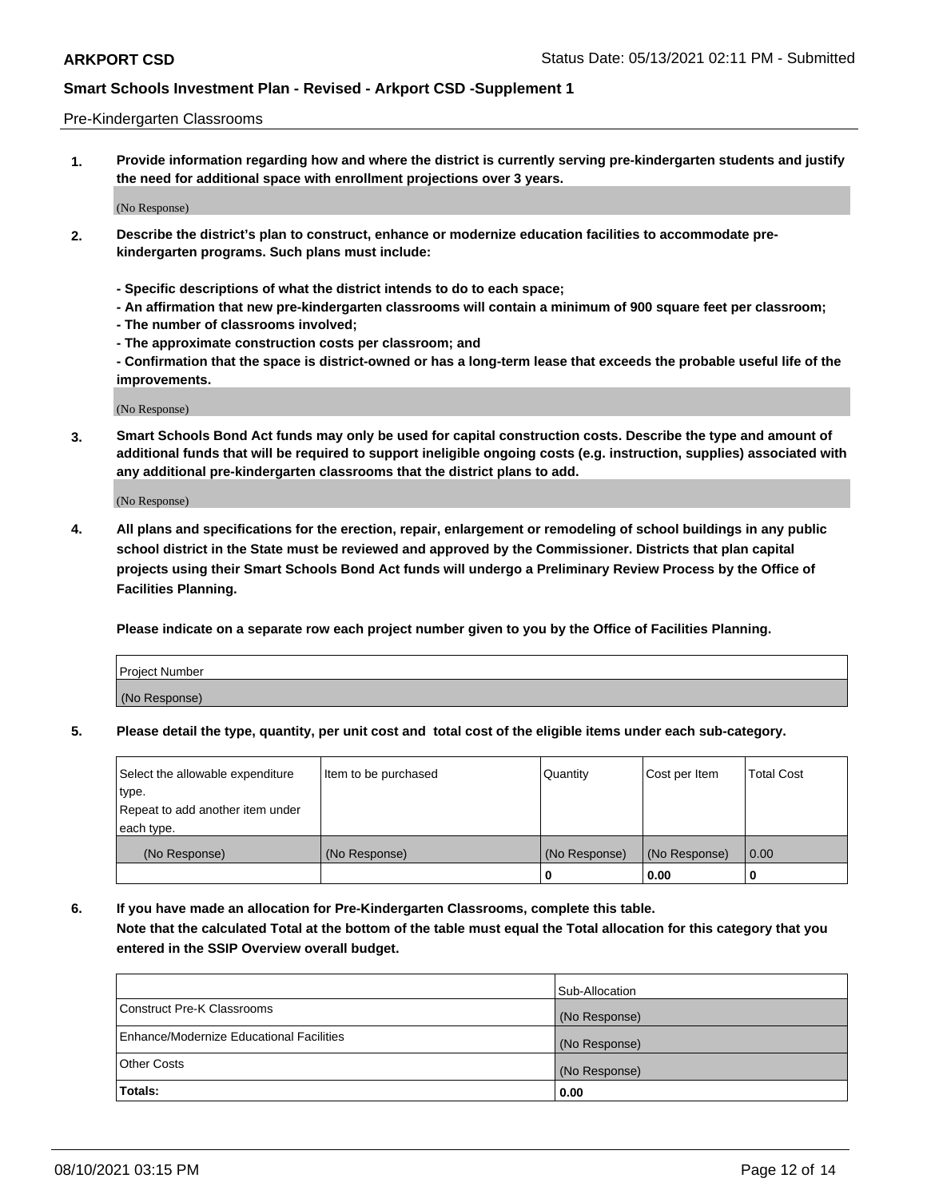#### Pre-Kindergarten Classrooms

**1. Provide information regarding how and where the district is currently serving pre-kindergarten students and justify the need for additional space with enrollment projections over 3 years.**

(No Response)

- **2. Describe the district's plan to construct, enhance or modernize education facilities to accommodate prekindergarten programs. Such plans must include:**
	- **Specific descriptions of what the district intends to do to each space;**
	- **An affirmation that new pre-kindergarten classrooms will contain a minimum of 900 square feet per classroom;**
	- **The number of classrooms involved;**
	- **The approximate construction costs per classroom; and**
	- **Confirmation that the space is district-owned or has a long-term lease that exceeds the probable useful life of the improvements.**

(No Response)

**3. Smart Schools Bond Act funds may only be used for capital construction costs. Describe the type and amount of additional funds that will be required to support ineligible ongoing costs (e.g. instruction, supplies) associated with any additional pre-kindergarten classrooms that the district plans to add.**

(No Response)

**4. All plans and specifications for the erection, repair, enlargement or remodeling of school buildings in any public school district in the State must be reviewed and approved by the Commissioner. Districts that plan capital projects using their Smart Schools Bond Act funds will undergo a Preliminary Review Process by the Office of Facilities Planning.**

**Please indicate on a separate row each project number given to you by the Office of Facilities Planning.**

| Project Number |  |
|----------------|--|
| (No Response)  |  |
|                |  |

**5. Please detail the type, quantity, per unit cost and total cost of the eligible items under each sub-category.**

| Select the allowable expenditure | Item to be purchased | Quantity      | Cost per Item | <b>Total Cost</b> |
|----------------------------------|----------------------|---------------|---------------|-------------------|
| type.                            |                      |               |               |                   |
| Repeat to add another item under |                      |               |               |                   |
| each type.                       |                      |               |               |                   |
| (No Response)                    | (No Response)        | (No Response) | (No Response) | 0.00              |
|                                  |                      | U             | 0.00          |                   |

**6. If you have made an allocation for Pre-Kindergarten Classrooms, complete this table. Note that the calculated Total at the bottom of the table must equal the Total allocation for this category that you entered in the SSIP Overview overall budget.**

|                                          | Sub-Allocation |
|------------------------------------------|----------------|
| Construct Pre-K Classrooms               | (No Response)  |
| Enhance/Modernize Educational Facilities | (No Response)  |
| <b>Other Costs</b>                       | (No Response)  |
| Totals:                                  | 0.00           |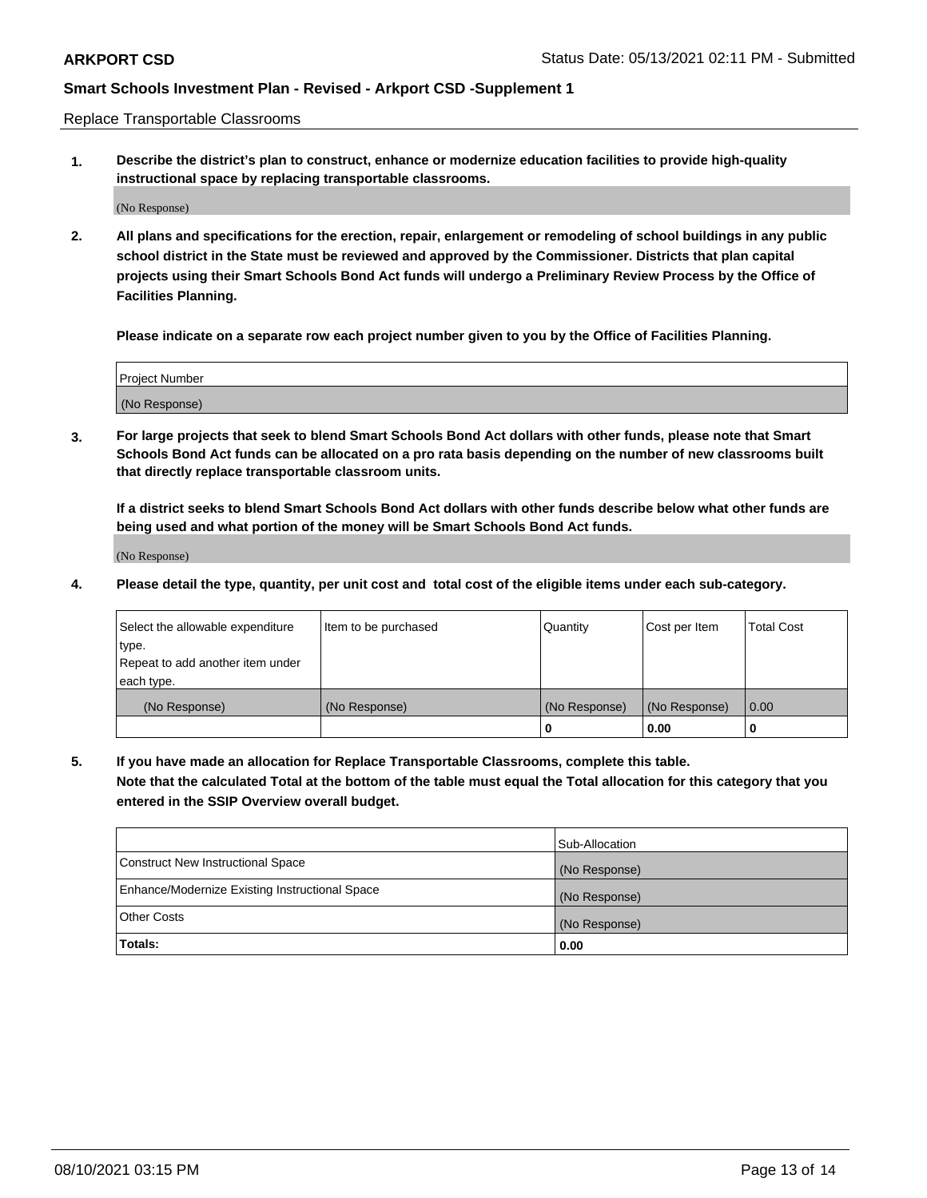Replace Transportable Classrooms

**1. Describe the district's plan to construct, enhance or modernize education facilities to provide high-quality instructional space by replacing transportable classrooms.**

(No Response)

**2. All plans and specifications for the erection, repair, enlargement or remodeling of school buildings in any public school district in the State must be reviewed and approved by the Commissioner. Districts that plan capital projects using their Smart Schools Bond Act funds will undergo a Preliminary Review Process by the Office of Facilities Planning.**

**Please indicate on a separate row each project number given to you by the Office of Facilities Planning.**

| Project Number |  |
|----------------|--|
|                |  |
|                |  |
|                |  |
|                |  |
| (No Response)  |  |
|                |  |
|                |  |
|                |  |

**3. For large projects that seek to blend Smart Schools Bond Act dollars with other funds, please note that Smart Schools Bond Act funds can be allocated on a pro rata basis depending on the number of new classrooms built that directly replace transportable classroom units.**

**If a district seeks to blend Smart Schools Bond Act dollars with other funds describe below what other funds are being used and what portion of the money will be Smart Schools Bond Act funds.**

(No Response)

**4. Please detail the type, quantity, per unit cost and total cost of the eligible items under each sub-category.**

| Select the allowable expenditure | Item to be purchased | Quantity      | Cost per Item | Total Cost |
|----------------------------------|----------------------|---------------|---------------|------------|
| ∣type.                           |                      |               |               |            |
| Repeat to add another item under |                      |               |               |            |
| each type.                       |                      |               |               |            |
| (No Response)                    | (No Response)        | (No Response) | (No Response) | 0.00       |
|                                  |                      | u             | 0.00          |            |

**5. If you have made an allocation for Replace Transportable Classrooms, complete this table. Note that the calculated Total at the bottom of the table must equal the Total allocation for this category that you entered in the SSIP Overview overall budget.**

|                                                | Sub-Allocation |
|------------------------------------------------|----------------|
| Construct New Instructional Space              | (No Response)  |
| Enhance/Modernize Existing Instructional Space | (No Response)  |
| Other Costs                                    | (No Response)  |
| Totals:                                        | 0.00           |